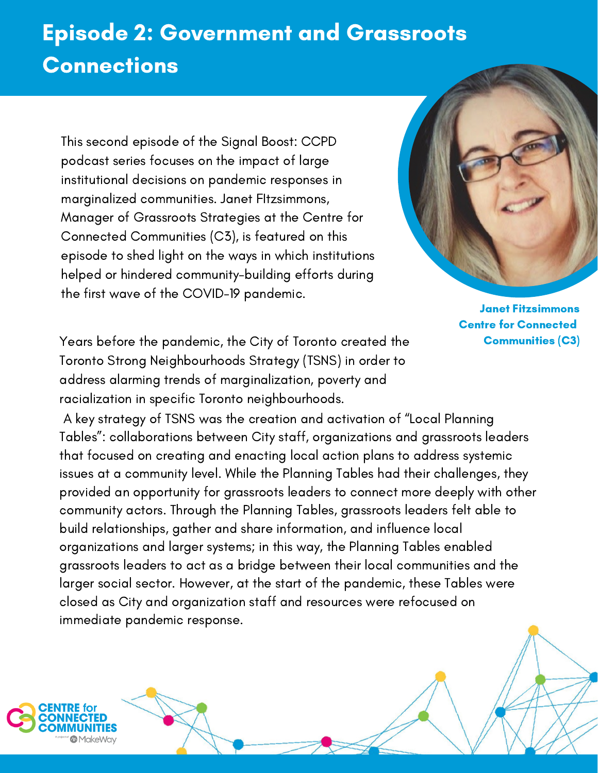## Episode 2: Government and Grassroots **Connections**

This second episode of the Signal Boost: CCPD podcast series focuses on the impact of large institutional decisions on pandemic responses in marginalized communities. Janet FItzsimmons, Manager of Grassroots Strategies at the Centre for Connected [Communities](https://connectedcommunities.ca/) (C3), is featured on this episode to shed light on the ways in which institutions helped or hindered community-building efforts during the first wave of the COVID-19 pandemic.



Janet Fitzsimmons Centre for Connected Communities (C3)

Years before the pandemic, the City of Toronto created the Toronto Strong Neighbourhoods Strategy (TSNS) in order to address alarming trends of marginalization, poverty and racialization in specific Toronto neighbourhoods.

A key strategy of TSNS was the creation and activation of "Local Planning Tables": collaborations between City staff, organizations and grassroots leaders that focused on creating and enacting local action plans to address systemic issues at a community level. While the Planning Tables had their challenges, they provided an opportunity for grassroots leaders to connect more deeply with other community actors. Through the Planning Tables, grassroots leaders felt able to build relationships, gather and share information, and influence local organizations and larger systems; in this way, the Planning Tables enabled grassroots leaders to act as a bridge between their local communities and the larger social sector. However, at the start of the pandemic, these Tables were closed as City and organization staff and resources were refocused on immediate pandemic response.

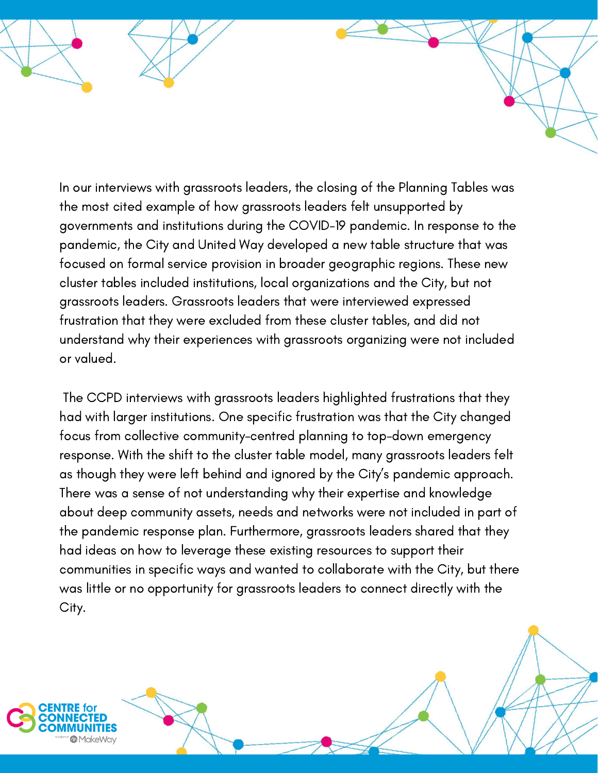In our interviews with grassroots leaders, the closing of the Planning Tables was the most cited example of how grassroots leaders felt unsupported by governments and institutions during the COVID-19 pandemic. In response to the pandemic, the City and United Way developed a new table structure that was focused on formal service provision in broader geographic regions. These new cluster tables included institutions, local organizations and the City, but not grassroots leaders. Grassroots leaders that were interviewed expressed frustration that they were excluded from these cluster tables, and did not understand why their experiences with grassroots organizing were not included or valued.

The CCPD interviews with grassroots leaders highlighted frustrations that they had with larger institutions. One specific frustration was that the City changed focus from collective community-centred planning to top-down emergency response. With the shift to the cluster table model, many grassroots leaders felt as though they were left behind and ignored by the City's pandemic approach. There was a sense of not understanding why their expertise and knowledge about deep community assets, needs and networks were not included in part of the pandemic response plan. Furthermore, grassroots leaders shared that they had ideas on how to leverage these existing resources to support their communities in specific ways and wanted to collaborate with the City, but there was little or no opportunity for grassroots leaders to connect directly with the City.



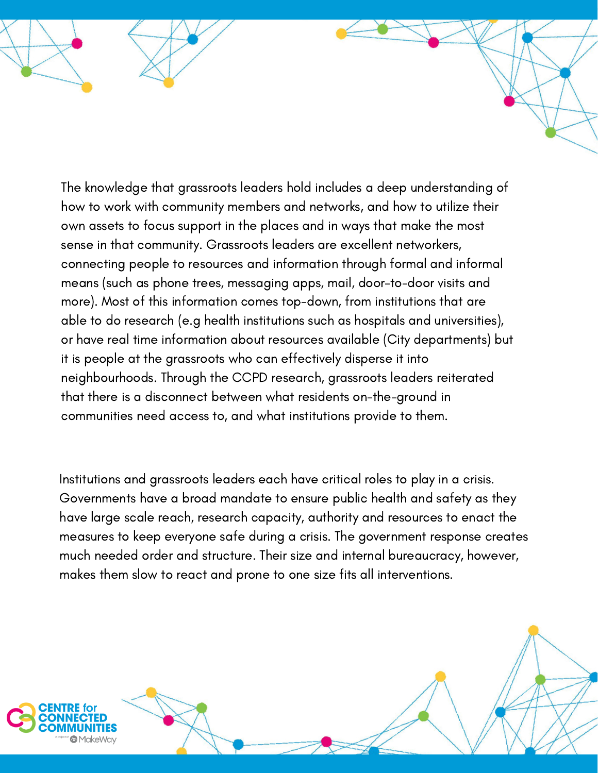The knowledge that grassroots leaders hold includes a deep understanding of how to work with community members and networks, and how to utilize their own assets to focus support in the places and in ways that make the most sense in that community. Grassroots leaders are excellent networkers, connecting people to resources and information through formal and informal means (such as phone trees, messaging apps, mail, door-to-door visits and more). Most of this information comes top-down, from institutions that are able to do research (e.g health institutions such as hospitals and universities), or have real time information about resources available (City departments) but it is people at the grassroots who can effectively disperse it into neighbourhoods. Through the CCPD research, grassroots leaders reiterated that there is a disconnect between what residents on-the-ground in communities need access to, and what institutions provide to them.

Institutions and grassroots leaders each have critical roles to play in a crisis. Governments have a broad mandate to ensure public health and safety as they have large scale reach, research capacity, authority and resources to enact the measures to keep everyone safe during a crisis. The government response creates much needed order and structure. Their size and internal bureaucracy, however, makes them slow to react and prone to one size fits all interventions.



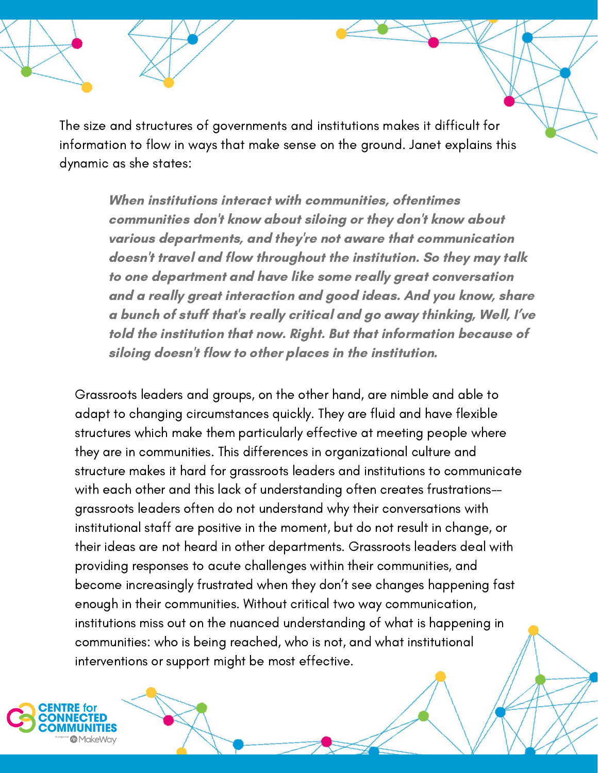The size and structures of governments and institutions makes it difficult for information to flow in ways that make sense on the ground. Janet explains this dynamic as she states:

> When institutions interact with communities, oftentimes communities don't know about siloing or they don't know about various departments, and they're not aware that communication doesn't travel and flow throughout the institution. So they may talk to one department and have like some really great conversation and a really great interaction and good ideas. And you know, share a bunch of stuff that's really critical and go away thinking, Well, I've told the institution that now. Right. But that information because of siloing doesn't flow to other places in the institution.

Grassroots leaders and groups, on the other hand, are nimble and able to adapt to changing circumstances quickly. They are fluid and have flexible structures which make them particularly effective at meeting people where they are in communities. This differences in organizational culture and structure makes it hard for grassroots leaders and institutions to communicate with each other and this lack of understanding often creates frustrations- grassroots leaders often do not understand why their conversations with institutional staff are positive in the moment, but do not result in change, or their ideas are not heard in other departments. Grassroots leaders deal with providing responses to acute challenges within their communities, and become increasingly frustrated when they don't see changes happening fast enough in their communities. Without critical two way communication, institutions miss out on the nuanced understanding of what is happening in communities: who is being reached, who is not, and what institutional interventions or support might be most effective.